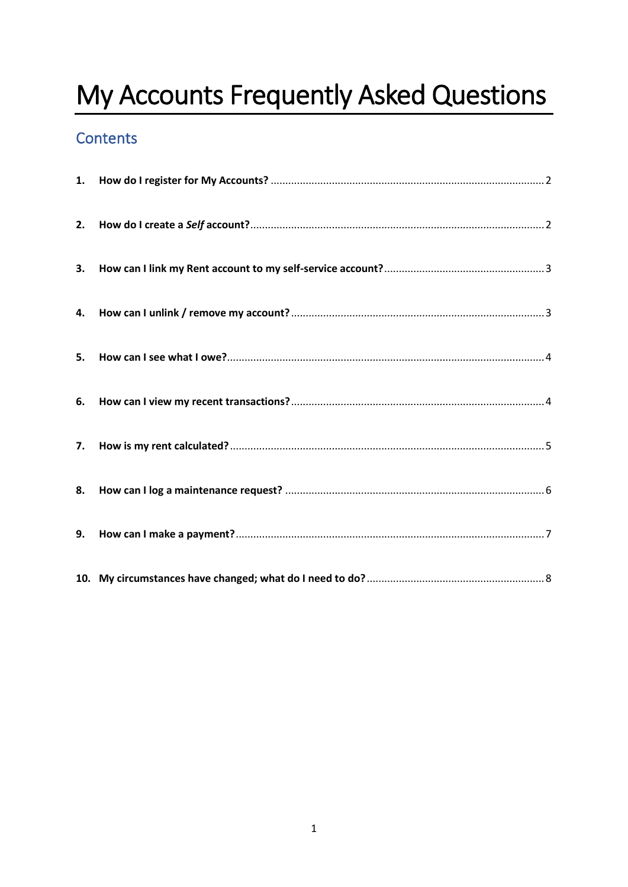# My Accounts Frequently Asked Questions

## Contents

| 2. |  |
|----|--|
| 3. |  |
| 4. |  |
| 5. |  |
| 6. |  |
| 7. |  |
| 8. |  |
| 9. |  |
|    |  |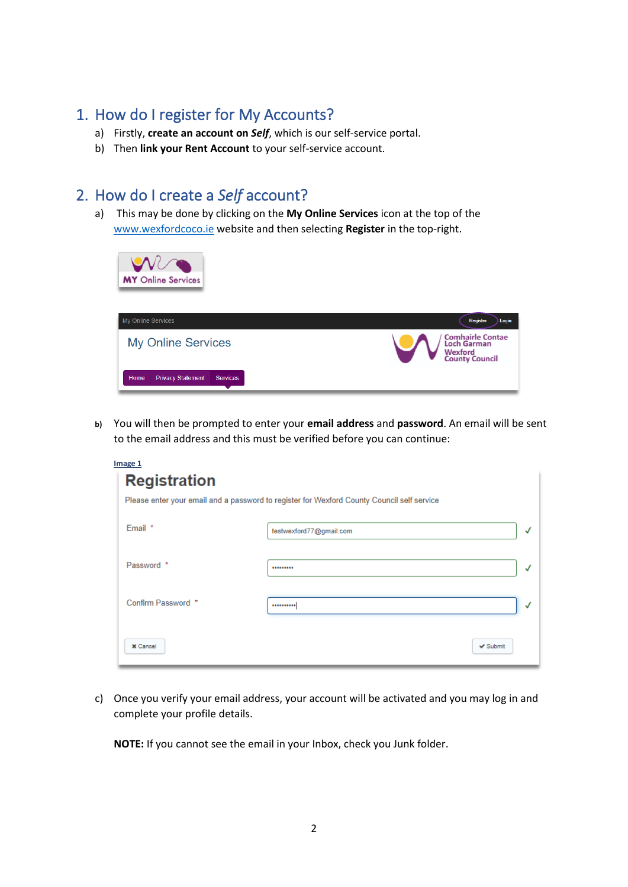## <span id="page-1-0"></span>1. How do I register for My Accounts?

- a) Firstly, **create an account on** *Self*, which is our self-service portal.
- b) Then **link your Rent Account** to your self-service account.

### <span id="page-1-1"></span>2. How do I create a *Self* account?

a) This may be done by clicking on the **My Online Services** icon at the top of the [www.wexfordcoco.ie](http://www.wexfordcoco.ie/) website and then selecting **Register** in the top-right.



**b)** You will then be prompted to enter your **email address** and **password**. An email will be sent to the email address and this must be verified before you can continue:

| Image 1             |                                                                                            |              |
|---------------------|--------------------------------------------------------------------------------------------|--------------|
| <b>Registration</b> |                                                                                            |              |
|                     | Please enter your email and a password to register for Wexford County Council self service |              |
| Email *             | testwexford77@gmail.com                                                                    | √            |
| Password *          |                                                                                            | $\checkmark$ |
| Confirm Password *  |                                                                                            | $\checkmark$ |
| <b>X</b> Cancel     | $\vee$ Submit                                                                              |              |

c) Once you verify your email address, your account will be activated and you may log in and complete your profile details.

**NOTE:** If you cannot see the email in your Inbox, check you Junk folder.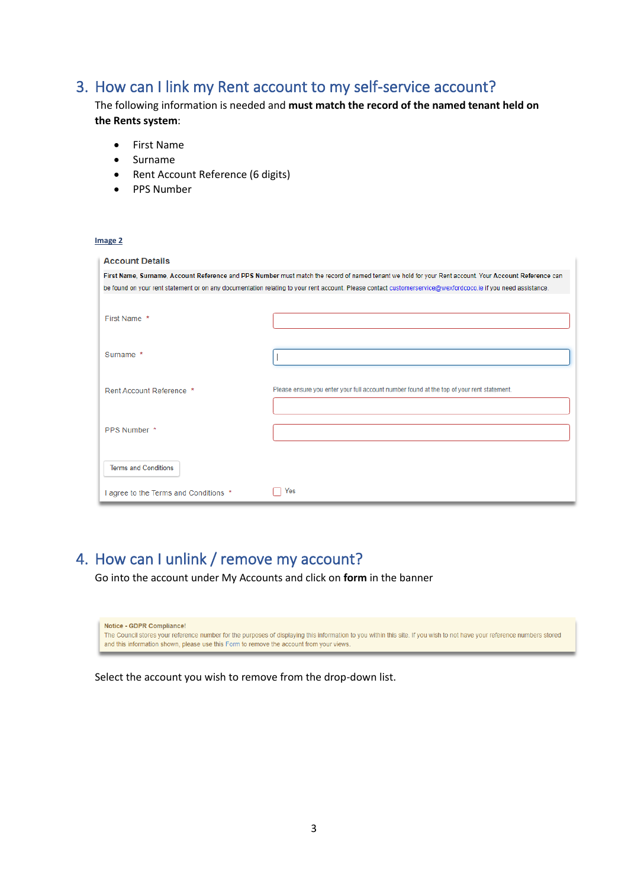## <span id="page-2-0"></span>3. How can I link my Rent account to my self-service account?

The following information is needed and **must match the record of the named tenant held on the Rents system**:

- First Name
- Surname
- Rent Account Reference (6 digits)
- PPS Number

#### **Image 2**

| <b>Account Details</b>              |                                                                                                                                                              |  |  |  |
|-------------------------------------|--------------------------------------------------------------------------------------------------------------------------------------------------------------|--|--|--|
|                                     | First Name, Surname, Account Reference and PPS Number must match the record of named tenant we hold for your Rent account. Your Account Reference can        |  |  |  |
|                                     | be found on your rent statement or on any documentation relating to your rent account. Please contact customerservice@wexfordcoco.ie if you need assistance. |  |  |  |
| First Name *                        |                                                                                                                                                              |  |  |  |
| Surname *                           |                                                                                                                                                              |  |  |  |
| Rent Account Reference *            | Please ensure you enter your full account number found at the top of your rent statement.                                                                    |  |  |  |
| PPS Number *                        |                                                                                                                                                              |  |  |  |
| <b>Terms and Conditions</b>         |                                                                                                                                                              |  |  |  |
| agree to the Terms and Conditions * | Yes                                                                                                                                                          |  |  |  |

## <span id="page-2-1"></span>4. How can I unlink / remove my account?

Go into the account under My Accounts and click on **form** in the banner

Notice - GDPR Compliance! The Council stores your reference number for the purposes of displaying this information to you within this site. If you wish to not have your reference numbers stored and this information shown, please use this Form to remove the account from your views.

Select the account you wish to remove from the drop-down list.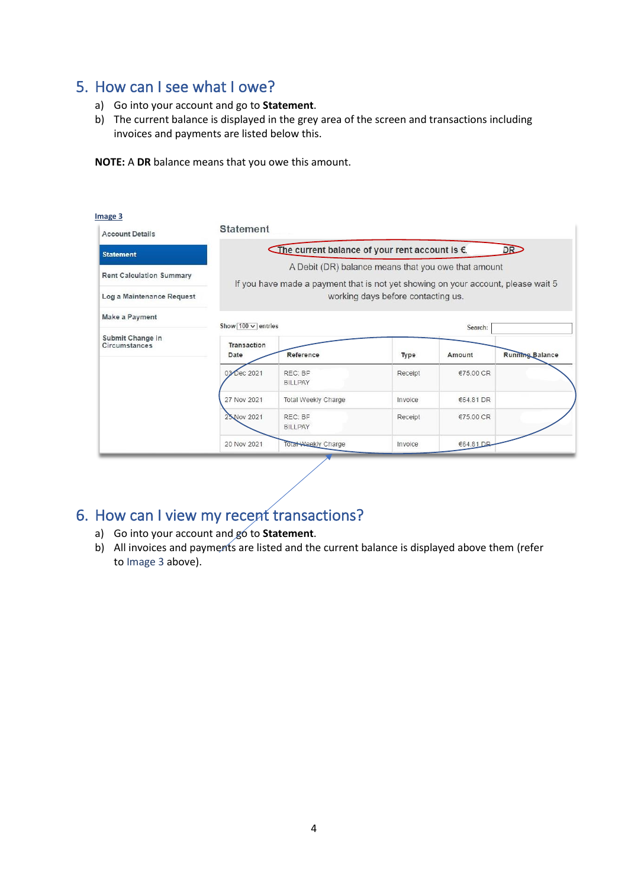### <span id="page-3-0"></span>5. How can I see what I owe?

- a) Go into your account and go to **Statement**.
- b) The current balance is displayed in the grey area of the screen and transactions including invoices and payments are listed below this.

**NOTE:** A **DR** balance means that you owe this amount.

| <b>Account Details</b>                                       | <b>Statement</b>                                                                                                                                                               |                                                      |         |           |                        |
|--------------------------------------------------------------|--------------------------------------------------------------------------------------------------------------------------------------------------------------------------------|------------------------------------------------------|---------|-----------|------------------------|
| <b>Statement</b>                                             |                                                                                                                                                                                | The current balance of your rent account is €.<br>DR |         |           |                        |
| <b>Rent Calculation Summary</b><br>Log a Maintenance Request | A Debit (DR) balance means that you owe that amount<br>If you have made a payment that is not yet showing on your account, please wait 5<br>working days before contacting us. |                                                      |         |           |                        |
| Make a Payment                                               | Show $\boxed{100 \vee}$ entries                                                                                                                                                |                                                      |         | Search:   |                        |
| Submit Change in<br>Circumstances                            | Transaction<br>Date                                                                                                                                                            | Reference                                            | Type    | Amount    | <b>Running Balance</b> |
|                                                              | 03 Dec 2021                                                                                                                                                                    | REC: BP<br><b>BILLPAY</b>                            | Receipt | €75.00 CR |                        |
|                                                              | 27 Nov 2021                                                                                                                                                                    | Total Weekly Charge                                  | Invoice | €64.81 DR |                        |
|                                                              | 25 Nov 2021                                                                                                                                                                    | RFC: BF<br><b>BILLPAY</b>                            | Receipt | €75.00 CR |                        |
|                                                              | 20 Nov 2021                                                                                                                                                                    | Total Weekly Charge                                  | Invoice | €64.81 DB |                        |

## <span id="page-3-1"></span>6. How can I view my recent transactions?

- a) Go into your account and go to **Statement**.
- b) All invoices and payments are listed and the current balance is displayed above them (refer to Image 3 above).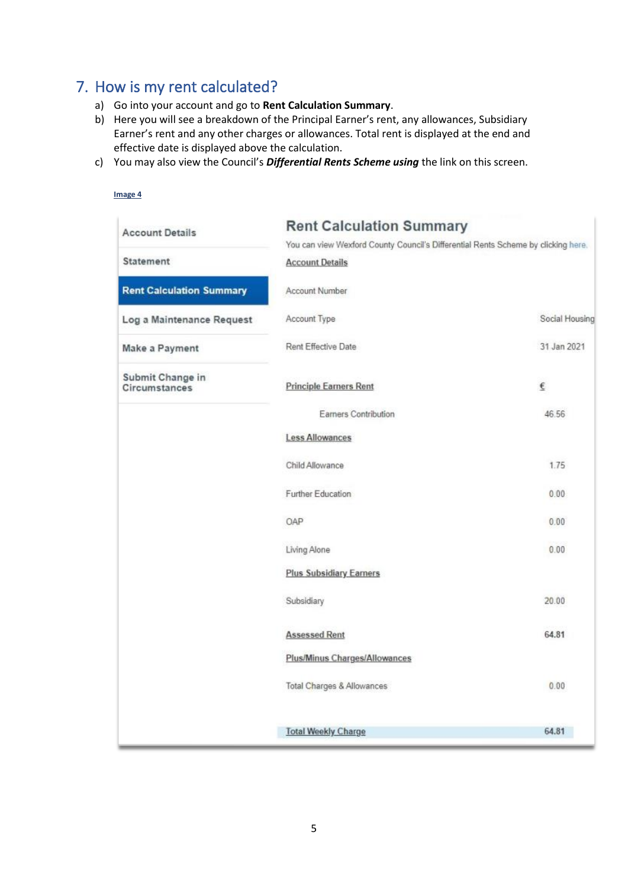## <span id="page-4-0"></span>7. How is my rent calculated?

- a) Go into your account and go to **Rent Calculation Summary**.
- b) Here you will see a breakdown of the Principal Earner's rent, any allowances, Subsidiary Earner's rent and any other charges or allowances. Total rent is displayed at the end and effective date is displayed above the calculation.
- c) You may also view the Council's *Differential Rents Scheme using* the link on this screen.

<span id="page-4-1"></span>

| Image 4                           |                                                                                   |                |  |
|-----------------------------------|-----------------------------------------------------------------------------------|----------------|--|
| <b>Account Details</b>            | <b>Rent Calculation Summary</b>                                                   |                |  |
|                                   | You can view Wexford County Council's Differential Rents Scheme by clicking here. |                |  |
| Statement                         | <b>Account Details</b>                                                            |                |  |
| <b>Rent Calculation Summary</b>   | Account Number                                                                    |                |  |
| Log a Maintenance Request         | Account Type                                                                      | Social Housing |  |
| Make a Payment                    | Rent Effective Date                                                               | 31 Jan 2021    |  |
| Submit Change in<br>Circumstances | <b>Principle Earners Rent</b>                                                     | €              |  |
|                                   | Earners Contribution                                                              | 46.56          |  |
|                                   | <b>Less Allowances</b>                                                            |                |  |
|                                   | Child Allowance                                                                   | 1.75           |  |
|                                   | Further Education                                                                 | 0.00           |  |
|                                   | OAP                                                                               | 0.00           |  |
|                                   | Living Alone                                                                      | 0.00           |  |
|                                   | <b>Plus Subsidiary Earners</b>                                                    |                |  |
|                                   | Subsidiary                                                                        | 20.00          |  |
|                                   | <b>Assessed Rent</b>                                                              | 64.81          |  |
|                                   | Plus/Minus Charges/Allowances                                                     |                |  |
|                                   | Total Charges & Allowances                                                        | 0.00           |  |
|                                   | <b>Total Weekly Charge</b>                                                        | 64.81          |  |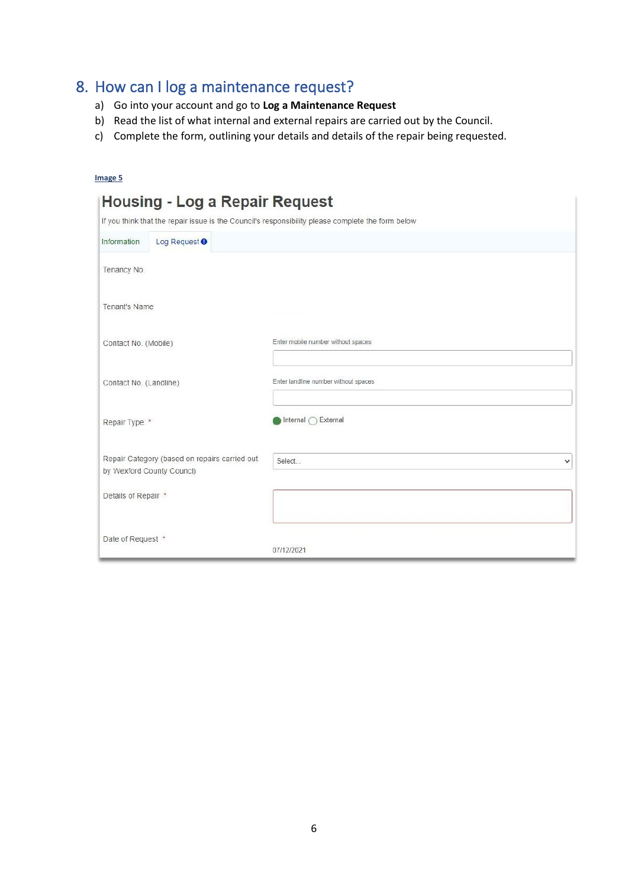## 8. How can I log a maintenance request?

- a) Go into your account and go to **Log a Maintenance Request**
- b) Read the list of what internal and external repairs are carried out by the Council.
- c) Complete the form, outlining your details and details of the repair being requested.

| Image 5                                                                                                                                    |                                      |
|--------------------------------------------------------------------------------------------------------------------------------------------|--------------------------------------|
| <b>Housing - Log a Repair Request</b><br>If you think that the repair issue is the Council's responsibility please complete the form below |                                      |
|                                                                                                                                            |                                      |
| Log Request <sup>O</sup><br>Information                                                                                                    |                                      |
| Tenancy No.                                                                                                                                |                                      |
| Tenant's Name                                                                                                                              |                                      |
| Contact No. (Mobile)                                                                                                                       | Enter mobile number without spaces   |
| Contact No. (Landline)                                                                                                                     | Enter landline number without spaces |
| Repair Type *                                                                                                                              | Internal ( External                  |
| Repair Category (based on repairs carried out<br>by Wexford County Councl)                                                                 | Select<br>$\checkmark$               |
| Details of Repair *                                                                                                                        |                                      |
| Date of Request *                                                                                                                          | 07/12/2021                           |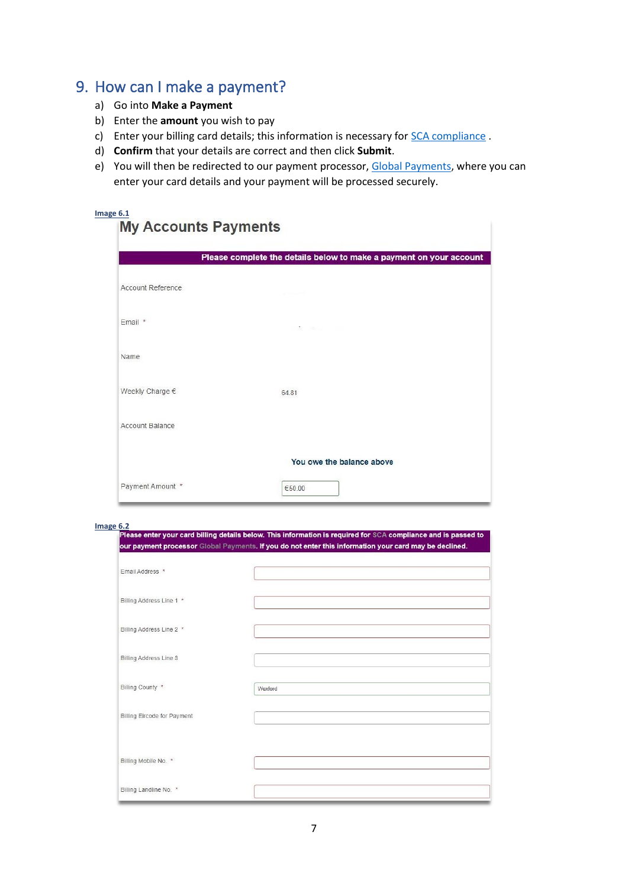#### <span id="page-6-0"></span>9. How can I make a payment?

- a) Go into **Make a Payment**
- b) Enter the **amount** you wish to pay
- c) Enter your billing card details; this information is necessary fo[r SCA compliance](https://en.wikipedia.org/wiki/Strong_customer_authentication) .
- d) **Confirm** that your details are correct and then click **Submit**.
- e) You will then be redirected to our payment processor, [Global Payments,](https://www.globalpaymentsinc.com/en-gb) where you can enter your card details and your payment will be processed securely.

## **Image 6.1**<br>**My Accounts Payments**

|                   | Please complete the details below to make a payment on your account |
|-------------------|---------------------------------------------------------------------|
| Account Reference |                                                                     |
| Email *           |                                                                     |
| Name              |                                                                     |
| Weekly Charge €   | 64.81                                                               |
| Account Balance   |                                                                     |
|                   | You owe the balance above                                           |
| Payment Amount *  | €50.00                                                              |

Image 6.2<br>Please enter your card billing details below. This information is required for SCA compliance and is passed to our payment processor Global Payments. If you do not enter this information your card may be declined.

| Email Address *             |         |
|-----------------------------|---------|
| Billing Address Line 1 *    |         |
| Billing Address Line 2 *    |         |
| Billing Address Line 3      |         |
| Billing County *            | Wexford |
| Billing Eircode for Payment |         |
|                             |         |
| Billing Mobile No. *        |         |
|                             |         |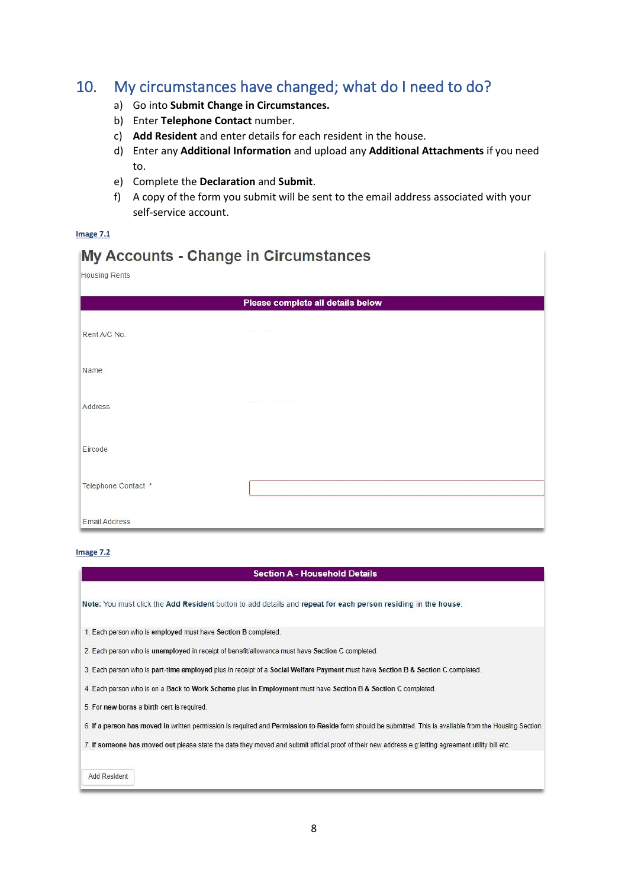### <span id="page-7-0"></span>10. My circumstances have changed; what do I need to do?

- a) Go into **Submit Change in Circumstances.**
- b) Enter **Telephone Contact** number.
- c) **Add Resident** and enter details for each resident in the house.
- d) Enter any **Additional Information** and upload any **Additional Attachments** if you need to.
- e) Complete the **Declaration** and **Submit**.
- f) A copy of the form you submit will be sent to the email address associated with your self-service account.

#### **Image 7.1**

#### My Accounts - Change in Circumstances

| Housing Rents        |                                   |  |  |
|----------------------|-----------------------------------|--|--|
|                      | Please complete all details below |  |  |
| Rent A/C No.         |                                   |  |  |
| Name                 |                                   |  |  |
| Address              |                                   |  |  |
| Eircode              |                                   |  |  |
| Telephone Contact *  |                                   |  |  |
| <b>Email Address</b> |                                   |  |  |

#### **Image 7.2**

#### **Section A - Household Details**

Note: You must click the Add Resident button to add details and repeat for each person residing in the house.

1. Each person who is employed must have Section B completed.

2. Each person who is unemployed in receipt of benefit/allowance must have Section C completed.

3. Each person who is part-time employed plus in receipt of a Social Welfare Payment must have Section B & Section C completed.

4. Each person who is on a Back to Work Scheme plus in Employment must have Section B & Section C completed.

5. For new borns a birth cert is required.

6. If a person has moved in written permission is required and Permission to Reside form should be submitted. This is available from the Housing Section.

7. If someone has moved out please state the date they moved and submit official proof of their new address.e.g:letting agreement, utility bill etc..

**Add Resident**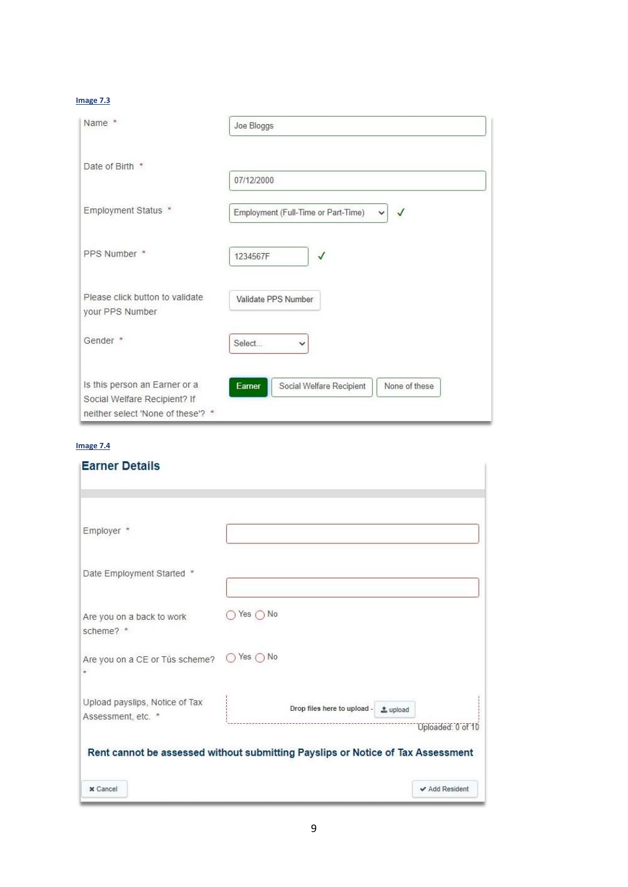#### **Image 7.3**

| Name *                                                                                             | Joe Bloggs                                                          |
|----------------------------------------------------------------------------------------------------|---------------------------------------------------------------------|
| Date of Birth *                                                                                    | 07/12/2000                                                          |
| Employment Status *                                                                                | Employment (Full-Time or Part-Time)<br>$\checkmark$<br>$\checkmark$ |
| PPS Number *                                                                                       | $\checkmark$<br>1234567F                                            |
| Please click button to validate<br>your PPS Number                                                 | Validate PPS Number                                                 |
| Gender <sup>*</sup>                                                                                | Select<br>$\check{ }$                                               |
| Is this person an Earner or a<br>Social Welfare Recipient? If<br>neither select 'None of these'? * | None of these<br>Social Welfare Recipient<br>Earner                 |

#### **Image 7.4**

| <b>Earner Details</b>                                                           |                            |                                      |                   |
|---------------------------------------------------------------------------------|----------------------------|--------------------------------------|-------------------|
| Employer *                                                                      |                            |                                      |                   |
| Date Employment Started *                                                       |                            |                                      |                   |
| Are you on a back to work<br>scheme? *                                          | Yes $\bigcap$ No           |                                      |                   |
| Are you on a CE or Tús scheme?<br>$\star$                                       | $\bigcap$ Yes $\bigcap$ No |                                      |                   |
| Upload payslips, Notice of Tax<br>Assessment, etc. *                            |                            | Drop files here to upload - ± upload | Uploaded: 0 of 10 |
| Rent cannot be assessed without submitting Payslips or Notice of Tax Assessment |                            |                                      |                   |
| x Cancel                                                                        |                            |                                      | ✔ Add Resident    |